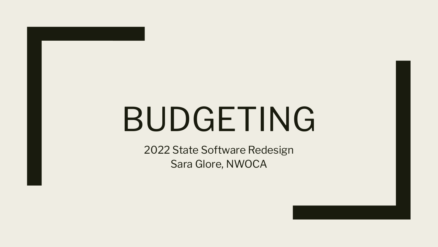# BUDGETING

2022 State Software Redesign Sara Glore, NWOCA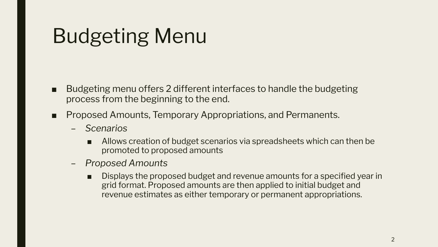# Budgeting Menu

- Budgeting menu offers 2 different interfaces to handle the budgeting process from the beginning to the end.
- Proposed Amounts, Temporary Appropriations, and Permanents.
	- *– Scenarios*
		- Allows creation of budget scenarios via spreadsheets which can then be promoted to proposed amounts
	- *– Proposed Amounts*
		- Displays the proposed budget and revenue amounts for a specified year in grid format. Proposed amounts are then applied to initial budget and revenue estimates as either temporary or permanent appropriations.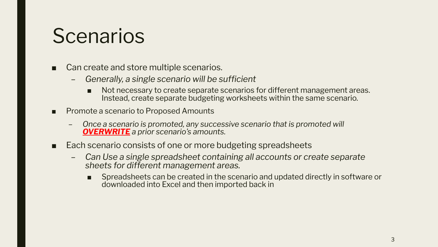### **Scenarios**

- Can create and store multiple scenarios.
	- *– Generally, a single scenario will be sufficient*
		- Not necessary to create separate scenarios for different management areas. Instead, create separate budgeting worksheets within the same scenario.
- **Promote a scenario to Proposed Amounts** 
	- *– Once a scenario is promoted, any successive scenario that is promoted will OVERWRITE a prior scenario's amounts.*
- Each scenario consists of one or more budgeting spreadsheets
	- *– Can Use a single spreadsheet containing all accounts or create separate sheets for different management areas.*
		- Spreadsheets can be created in the scenario and updated directly in software or downloaded into Excel and then imported back in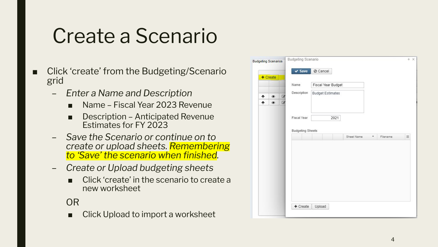# Create a Scenario

- Click 'create' from the Budgeting/Scenario grid
	- *– Enter a Name and Description*
		- Name Fiscal Year 2023 Revenue
		- Description Anticipated Revenue Estimates for FY 2023
	- *– Save the Scenario or continue on to create or upload sheets. Remembering to 'Save' the scenario when finished.*
	- *– Create or Upload budgeting sheets*
		- Click 'create' in the scenario to create a new worksheet

#### OR

Click Upload to import a worksheet

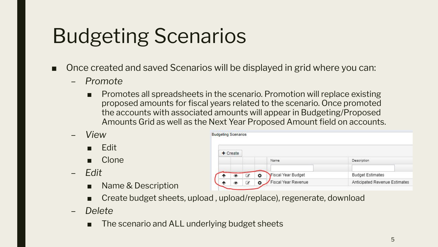# Budgeting Scenarios

- Once created and saved Scenarios will be displayed in grid where you can:
	- *– Promote*
		- Promotes all spreadsheets in the scenario. Promotion will replace existing proposed amounts for fiscal years related to the scenario. Once promoted the accounts with associated amounts will appear in Budgeting/Proposed Amounts Grid as well as the Next Year Proposed Amount field on accounts.
	- *– View*
		- Edit
		- Clone
	- *– Edit*
		- Name & Description

| $+$ Create |    |   |                     |                               |
|------------|----|---|---------------------|-------------------------------|
|            |    |   | Name                | Description                   |
| ۱          | €  | ο | Fiscal Year Budget  | <b>Budget Estimates</b>       |
|            | B. | Θ | Fiscal Year Revenue | Anticipated Revenue Estimates |

- Create budget sheets, upload, upload/replace), regenerate, download
- *– Delete*
	- The scenario and ALL underlying budget sheets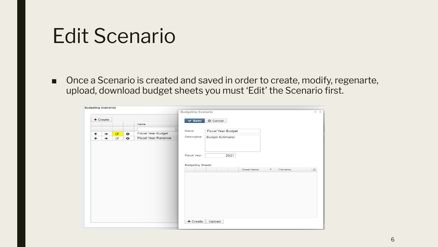#### Edit Scenario

■ Once a Scenario is created and saved in order to create, modify, regenarte, upload, download budget sheets you must 'Edit' the Scenario first.

|                     |               |          |           |                     | <b>Budgeting Scenario</b> |                         |            |                                 | $+ x$    |
|---------------------|---------------|----------|-----------|---------------------|---------------------------|-------------------------|------------|---------------------------------|----------|
|                     | $+$ Create    |          |           |                     | $\vee$ Save               | ⊘ Cancel                |            |                                 |          |
|                     |               |          |           | Name                |                           |                         |            |                                 |          |
| ↑                   | $\circledast$ | $\alpha$ | $\circ$   | Fiscal Year Budget  | Name                      | Fiscal Year Budget      |            |                                 |          |
| $\hat{\phantom{a}}$ | $\circledast$ | $\alpha$ | $\bullet$ | Fiscal Year Revenue | Description               | <b>Budget Estimates</b> |            |                                 |          |
|                     |               |          |           |                     |                           |                         |            |                                 |          |
|                     |               |          |           |                     |                           |                         |            |                                 |          |
|                     |               |          |           |                     | Fiscal Year               | 2021                    |            |                                 |          |
|                     |               |          |           |                     | <b>Budgeting Sheets</b>   |                         |            |                                 |          |
|                     |               |          |           |                     |                           |                         | Sheet Name | $\hat{\phantom{a}}$<br>Filename | $\equiv$ |
|                     |               |          |           |                     |                           |                         |            |                                 |          |
|                     |               |          |           |                     |                           |                         |            |                                 |          |
|                     |               |          |           |                     |                           |                         |            |                                 |          |
|                     |               |          |           |                     |                           |                         |            |                                 |          |
|                     |               |          |           |                     |                           |                         |            |                                 |          |
|                     |               |          |           |                     |                           |                         |            |                                 |          |
|                     |               |          |           |                     |                           |                         |            |                                 |          |
|                     |               |          |           |                     | $+$ Create                | Upload                  |            |                                 |          |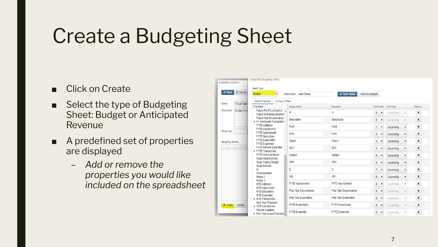# Create a Budgeting Sheet

- Click on Create
- Select the type of Budgeting Sheet: Budget or Anticipated Revenue
- A predefined set of properties are displayed
	- *– Add or remove the properties you would like included on the spreadsheet*

| udgeting Scenario       |                     | Create New Budgeting Sheet                                  |                         |                          |                                      |                                        |                |
|-------------------------|---------------------|-------------------------------------------------------------|-------------------------|--------------------------|--------------------------------------|----------------------------------------|----------------|
| $\vee$ Save             | <b>⊘</b> Cancel     | Select Type<br><b>Budget</b><br>$\mathbf{v}$                | New Sheet<br>Sheet Name | $\vee$ Save Sheet        | <b>Restore Defaults</b>              |                                        |                |
| Name                    | <b>Fiscal Year</b>  | <b>Select Properties</b><br>Configure Filters               |                         |                          |                                      |                                        |                |
|                         |                     | Properties:                                                 | Display Name            | Description              | Sort Priority                        | Sort Order                             | Remove         |
| Description             | <b>Budget Estin</b> | Future Pre Encumbrance<br>Future Remaining Balance          | Id                      | id                       | 0<br>$\pmb{\mathrm{v}}$              | Ascending<br>$\mathbf{v}$              | $\pmb{\times}$ |
|                         |                     | Future Year Encumbrance<br>FY Permanent Transaction         | Description             | Description              | $\mathbf 0$<br>$\pmb{\mathrm{v}}$    | Ascending<br>$\boldsymbol{\mathrm{v}}$ | $\pmb{\times}$ |
|                         |                     | <b>FYTD Additions</b><br><b>FYTD Adjustments</b>            | Fund                    | Fund                     | 1<br>$\pmb{\mathrm{v}}$              | Ascending<br>$\pmb{\mathrm{v}}$        | $\pmb{\times}$ |
| Fiscal Year             |                     | FYTD Appropriated<br><b>FYTD Deductions</b>                 | Func                    | Func                     | 3<br>$\pmb{\mathrm{v}}$              | Ascending<br>$\mathbf{v}$              | $\pmb{\times}$ |
| <b>Budgeting Sheets</b> |                     | FYTD Expendable                                             | Object                  | Object                   | $\overline{4}$<br>$\pmb{\mathrm{v}}$ | Ascending<br>$\pmb{\mathrm{v}}$        | $\pmb{\times}$ |
|                         |                     | FYTD Expended<br>FYTD Percent Expended<br>FYTD Transactions | <b>SCC</b>              | SCC                      | $\overline{c}$<br>$\pmb{\mathrm{v}}$ | Ascending<br>$\pmb{\mathrm{v}}$        | $\pmb{\times}$ |
|                         |                     | FYTD Unencumbered                                           | Subject                 | Subject                  | 5<br>$\pmb{\mathrm{v}}$              | Ascending<br>$\pmb{\mathsf{v}}$        | $\pmb{\times}$ |
|                         |                     | Gaap Initial Estimate<br>Gaap Original Budget               | OPU                     | OPU                      | 6<br>7                               | Ascending<br>7                         | ×              |
|                         |                     | Gaap Revised<br>Id                                          | IL                      | IL.                      | $\overline{I}$<br>$\pmb{\mathrm{v}}$ | Ascending<br>$\pmb{\mathsf{v}}$        | ×              |
|                         |                     | Initial Estimate<br>Money 1                                 | Job                     | Job                      | 8<br>$\pmb{\mathrm{v}}$              | Ascending<br>$\pmb{\mathrm{v}}$        | $\pmb{\times}$ |
|                         |                     | Money 2<br><b>MTD Additions</b>                             | FYTD Appropriated       | <b>FYTD Appropriated</b> | $\mathbf 0$<br>$\blacktriangledown$  | Ascending<br>$\boldsymbol{\mathrm{v}}$ | $\pmb{\times}$ |
|                         |                     | <b>MTD Adjustments</b><br><b>MTD Deductions</b>             | Prior Year Encumbrance  | Prior Year Encumbrance   | $\pmb{0}$<br>$\pmb{\mathrm{v}}$      | Ascending<br>$\mathbf v$               | $\pmb{\times}$ |
|                         |                     | MTD Expended<br>• MTD Transactions                          | Prior Year Expendable   | Prior Year Expendable    | $\mathbf 0$<br>$\pmb{\mathrm{v}}$    | Ascending<br>$\overline{\mathbf{v}}$   | $\pmb{\times}$ |
| $+$ Create              | Upload              | Next Year Proposed<br>• ODE Line Number                     | FYTD Expendable         | FYTD Expendable          | $\pmb{0}$<br>$\pmb{\mathrm{v}}$      | Ascending<br>$\mathbf v$               | $\pmb{\times}$ |
|                         |                     | Percent Available<br>Prior Year Actual Expender             | FYTD Expended           | <b>FYTD Expended</b>     | $\theta$<br>$\pmb{\mathrm{v}}$       | Ascending<br>$\overline{\mathbf{v}}$   | $\pmb{\times}$ |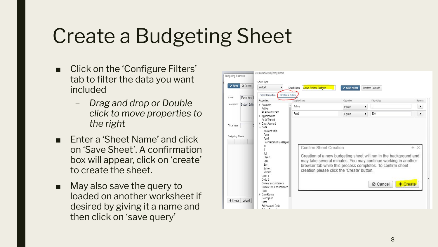# Create a Budgeting Sheet

- Click on the 'Configure Filters' tab to filter the data you want included
	- *– Drag and drop or Double click to move properties to the right*
- Enter a 'Sheet Name' and click on 'Save Sheet'. A confirmation box will appear, click on 'create' to create the sheet.
- May also save the query to loaded on another worksheet if desired by giving it a name and then click on 'save query'

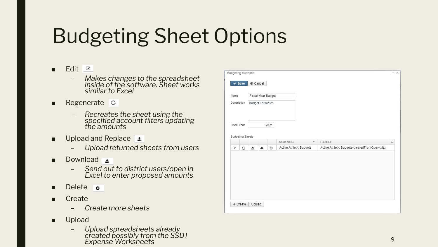# Budgeting Sheet Options

- Edit 
	- *– Makes changes to the spreadsheet inside of the software. Sheet works similar to Excel*
- Regenerate 
	- *– Recreates the sheet using the specified account filters updating the amounts*
- Upload and Replace
	- *– Upload returned sheets from users*
- Download <sub>L</sub>
	- *– Send out to district users/open in Excel to enter proposed amounts*
- Delete <del>o</del>
- **Create** 
	- *– Create more sheets*
- Upload
	- *– Upload spreadsheets already created possibly from the SSDT Expense Worksheets* <sup>9</sup>

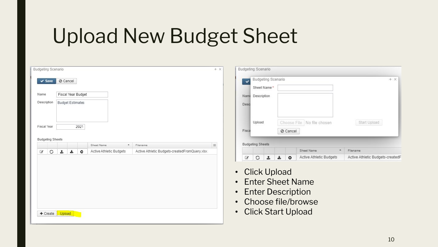# Upload New Budget Sheet

| <b>Budgeting Scenario</b>                     |            |                         |          |                       |                                |                                               | $+ x$    | <b>Budgeting Scenario</b>                        |                         |             |                           |           |                                                                                                   |
|-----------------------------------------------|------------|-------------------------|----------|-----------------------|--------------------------------|-----------------------------------------------|----------|--------------------------------------------------|-------------------------|-------------|---------------------------|-----------|---------------------------------------------------------------------------------------------------|
| $\vee$ Save                                   |            |                         | ⊘ Cancel |                       |                                |                                               |          |                                                  |                         | Sheet Name* | <b>Budgeting Scenario</b> |           |                                                                                                   |
| Name                                          |            |                         |          | Fiscal Year Budget    |                                |                                               |          | Name                                             | Description             |             |                           |           |                                                                                                   |
| Description                                   |            | <b>Budget Estimates</b> |          |                       |                                |                                               |          | Desc                                             |                         |             |                           |           |                                                                                                   |
|                                               |            |                         |          |                       |                                |                                               |          |                                                  | Upload                  |             |                           |           | Choose File   No file chosen                                                                      |
| <b>Fiscal Year</b><br><b>Budgeting Sheets</b> |            |                         |          | 2021                  |                                |                                               |          | Fisca                                            |                         |             |                           | ⊘ Cancel  |                                                                                                   |
|                                               |            |                         |          |                       | $\blacktriangle$<br>Sheet Name | Filename                                      | $\equiv$ |                                                  | <b>Budgeting Sheets</b> |             |                           |           |                                                                                                   |
| $\overline{a}$                                | $\circ$    | ±                       | 圡        | $\boldsymbol{\omega}$ | Active Athletic Budgets        | Active Athletic Budgets-createdFromQuery.xlsx |          |                                                  |                         |             |                           |           | Sheet Name                                                                                        |
|                                               |            |                         |          |                       |                                |                                               |          | $\mathbb{Z}$                                     | C                       | 1           | 土                         | $\bullet$ | Active Athletic Budg                                                                              |
|                                               | $+$ Create | Upload                  |          |                       |                                |                                               |          | $\bullet$<br>$\bullet$<br>$\bullet$<br>$\bullet$ | <b>Click Upload</b>     |             |                           |           | <b>Enter Sheet Name</b><br>• Enter Description<br>Choose file/browse<br><b>Click Start Upload</b> |

 $+ x$ 

Start Upload

Active Athletic Budgets-createdF

 $\overline{a}$ 

Filename

Active Athletic Budgets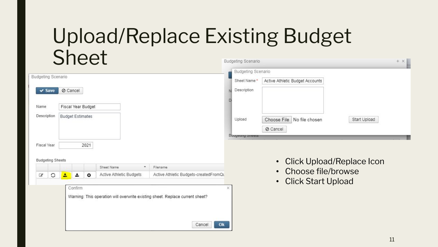#### Upload/Replace Existing Budget **Sheet Budgeting Scenario**

|                           | <u>JIJCCL</u>           |           |                         |                                       | <b>Budgeting Scenario</b> |                                                         | $+ x$        |
|---------------------------|-------------------------|-----------|-------------------------|---------------------------------------|---------------------------|---------------------------------------------------------|--------------|
|                           |                         |           |                         |                                       | Budgeting Scenario        |                                                         |              |
| <b>Budgeting Scenario</b> |                         |           |                         |                                       | Sheet Name*               | Active Athletic Budget Accounts                         |              |
| $\vee$ Save               | ⊘ Cancel                |           |                         |                                       | Description<br>N          |                                                         |              |
| Name                      | Fiscal Year Budget      |           |                         |                                       |                           |                                                         |              |
| Description               | <b>Budget Estimates</b> |           |                         |                                       | Upload                    | Choose File No file chosen                              | Start Upload |
|                           |                         |           |                         |                                       | Buugeung oneers           | ⊘ Cancel                                                |              |
| <b>Fiscal Year</b>        |                         | 2021      |                         |                                       |                           |                                                         |              |
| <b>Budgeting Sheets</b>   |                         |           |                         |                                       |                           | • Click Upload/Replace Icon                             |              |
|                           |                         |           | Sheet Name<br>٠         | Filename                              |                           |                                                         |              |
|                           |                         |           |                         |                                       |                           |                                                         |              |
| $\mathbb Z$<br>C          | 圡<br>土                  | $\bullet$ | Active Athletic Budgets | Active Athletic Budgets-createdFromQu |                           | Choose file/browse<br>$\bullet$<br>• Click Start Upload |              |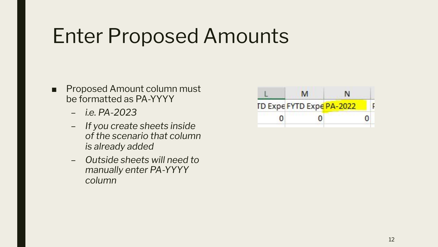### Enter Proposed Amounts

- Proposed Amount column must be formatted as PA-YYYY
	- *– i.e. PA-2023*
	- *– If you create sheets inside of the scenario that column is already added*
	- *– Outside sheets will need to manually enter PA-YYYY column*

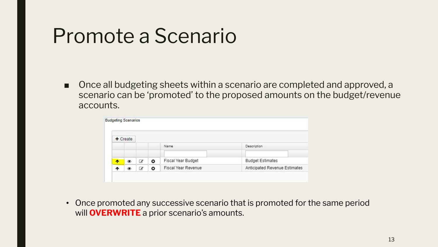### Promote a Scenario

■ Once all budgeting sheets within a scenario are completed and approved, a scenario can be 'promoted' to the proposed amounts on the budget/revenue accounts.

|   | $+$ Create |   |   |                            |                               |
|---|------------|---|---|----------------------------|-------------------------------|
|   |            |   |   | Name                       | Description                   |
| œ | ۱          | C | Θ | Fiscal Year Budget         | <b>Budget Estimates</b>       |
|   | ۴          | € | o | <b>Fiscal Year Revenue</b> | Anticipated Revenue Estimates |

• Once promoted any successive scenario that is promoted for the same period will **OVERWRITE** a prior scenario's amounts.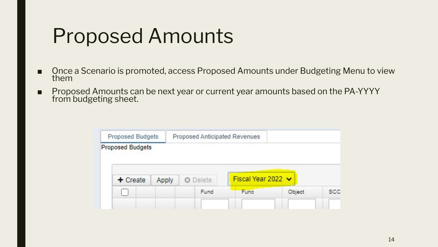#### Proposed Amounts

- Once a Scenario is promoted, access Proposed Amounts under Budgeting Menu to view them
- Proposed Amounts can be next year or current year amounts based on the PA-YYYY from budgeting sheet.

| $+$ Create | Apply | <b>O</b> Delete                             |      |                               |                    |
|------------|-------|---------------------------------------------|------|-------------------------------|--------------------|
|            |       | Fund                                        | Func | Object                        | scc                |
|            |       | Proposed Budgets<br><b>Proposed Budgets</b> |      | Proposed Anticipated Revenues | Fiscal Year 2022 v |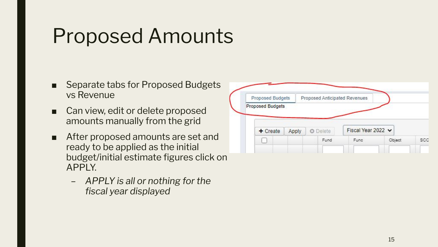### Proposed Amounts

- Separate tabs for Proposed Budgets vs Revenue
- Can view, edit or delete proposed amounts manually from the grid
- After proposed amounts are set and ready to be applied as the initial budget/initial estimate figures click on APPLY.
	- *– APPLY is all or nothing for the fiscal year displayed*

| <b>Proposed Budgets</b> |       | Proposed Anticipated Revenues |                    |  |
|-------------------------|-------|-------------------------------|--------------------|--|
| <b>Proposed Budgets</b> |       |                               |                    |  |
|                         |       |                               |                    |  |
| $+$ Create              | Apply | <b>O</b> Delete               | Fiscal Year 2022 v |  |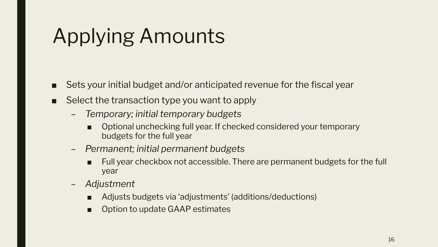# Applying Amounts

- Sets your initial budget and/or anticipated revenue for the fiscal year
- Select the transaction type you want to apply
	- *– Temporary; initial temporary budgets*
		- Optional unchecking full year. If checked considered your temporary budgets for the full year
	- *– Permanent; initial permanent budgets*
		- Full year checkbox not accessible. There are permanent budgets for the full year
	- *– Adjustment*
		- Adjusts budgets via 'adjustments' (additions/deductions)
		- Option to update GAAP estimates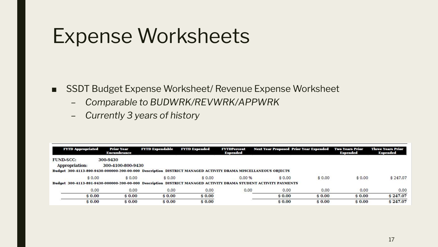#### Expense Worksheets

- SSDT Budget Expense Worksheet/ Revenue Expense Worksheet
	- *– Comparable to BUDWRK/REVWRK/APPWRK*
	- *– Currently 3 years of history*

| <b>FYTD Appropriated</b>                                                                                                                                  | Prior Year<br><b>Encumbrance</b> | <b>FYTD Expendable</b> | <b>FYTD Expended</b> | <b>FYTDPercent</b><br><b>Expended</b> |        | Next Year Proposed Prior Year Expended Two Years Prior | <b>Expended</b> | <b>Three Years Prior</b><br><b>Expended</b> |
|-----------------------------------------------------------------------------------------------------------------------------------------------------------|----------------------------------|------------------------|----------------------|---------------------------------------|--------|--------------------------------------------------------|-----------------|---------------------------------------------|
| <b>FUND-SCC:</b><br><b>Appropriation:</b><br>Budget 300-4113-890-9430-000000-200-00-000 Description DISTRICT MANAGED ACTIVITY DRAMA MISCELLANEOUS OBJECTS | 300-9430<br>300-4100-800-9430    |                        |                      |                                       |        |                                                        |                 |                                             |
| \$0.00                                                                                                                                                    | \$0.00                           | \$0.00                 | \$0.00               | 0.00%                                 | \$0.00 | \$0.00                                                 | \$0.00          | \$247.07                                    |
| Budget 300-4113-891-9430-000000-200-00-000 Description DISTRICT MANAGED ACTIVITY DRAMA STUDENT ACTIVITY PAYMENTS                                          |                                  |                        |                      |                                       |        |                                                        |                 |                                             |
| 0.00                                                                                                                                                      | 0.00                             | 0.00                   | 0.00                 | 0.00                                  | 0.00   | 0.00                                                   | 0.00            | 0.00                                        |
| \$0.00                                                                                                                                                    | \$0.00                           | \$0.00                 | \$0.00               |                                       | \$0.00 | \$0.00                                                 | \$0.00          | \$247.07                                    |
| \$0.00                                                                                                                                                    | \$0.00                           | \$0.00                 | \$0.00               |                                       | \$0.00 | \$0.00                                                 | \$0.00          | \$247.07                                    |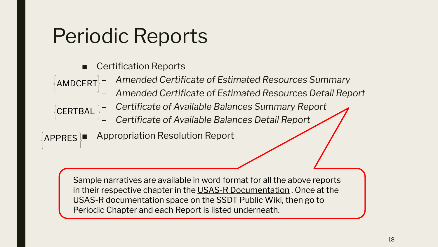## Periodic Reports

**Certification Reports** 

**CERTBAL** 

*– Amended Certificate of Estimated Resources Summary*  AMDCERT

- *– Amended Certificate of Estimated Resources Detail Report*
- *– Certificate of Available Balances Summary Report*
- *– Certificate of Available Balances Detail Report*

Appropriation Resolution Report APPRES<sup>I</sup>

> Sample narratives are available in word format for all the above reports in their respective chapter in the USAS-R Documentation. Once at the USAS-R documentation space on the SSDT Public Wiki, then go to Periodic Chapter and each Report is listed underneath.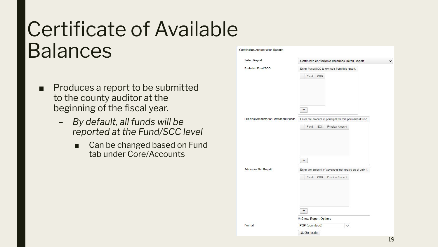# Certificate of Available Balances

- Produces a report to be submitted to the county auditor at the beginning of the fiscal year.
	- *– By default, all funds will be reported at the Fund/SCC level*
		- Can be changed based on Fund tab under Core/Accounts

| Select Report                                | Certificate of Available Balances Detail Report         |
|----------------------------------------------|---------------------------------------------------------|
| <b>Excluded Fund/SCC</b>                     | Enter Fund/SCC to exclude from this report.             |
|                                              | SCC<br>Fund                                             |
|                                              |                                                         |
|                                              |                                                         |
|                                              |                                                         |
|                                              | $\ddot{}$                                               |
| <b>Principal Amounts for Permanent Funds</b> | Enter the amount of principal for this permanent fund.  |
|                                              | Fund<br><b>SCC</b><br>Principal Amount                  |
|                                              |                                                         |
|                                              |                                                         |
|                                              |                                                         |
|                                              |                                                         |
|                                              |                                                         |
|                                              | $\ddot{}$                                               |
|                                              | Enter the amount of advances not repaid as of July 1.   |
| <b>Advances Not Repaid</b>                   | Fund<br>SCC<br>Principal Amount                         |
|                                              |                                                         |
|                                              |                                                         |
|                                              |                                                         |
|                                              |                                                         |
|                                              | ۰                                                       |
| Format                                       | ☑ Show Report Options<br>PDF (download)<br>$\checkmark$ |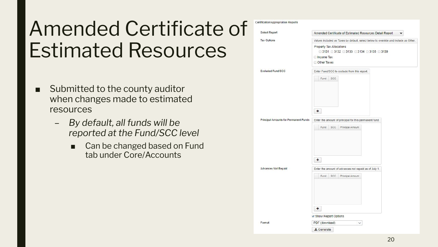# Amended Certificate of Estimated Resources

- Submitted to the county auditor when changes made to estimated resources
	- *– By default, all funds will be reported at the Fund/SCC level*
		- Can be changed based on Fund tab under Core/Accounts

| <b>Select Report</b>                  | Amended Certificate of Estimated Resources Detail Report<br>╰                        |
|---------------------------------------|--------------------------------------------------------------------------------------|
| <b>Tax Options</b>                    | Values included as Taxes by default, select below to override and include as Other.  |
|                                       | <b>Property Tax Allocations</b><br>23131 23132 23133 23134 23135 23139<br>Income Tax |
|                                       | Other Taxes                                                                          |
| <b>Excluded Fund/SCC</b>              | Enter Fund/SCC to exclude from this report.<br>Fund<br>SCC                           |
|                                       |                                                                                      |
|                                       |                                                                                      |
|                                       |                                                                                      |
|                                       | +                                                                                    |
| Principal Amounts for Permanent Funds | Enter the amount of principal for this permanent fund.                               |
|                                       | Fund SCC Principal Amount                                                            |
|                                       |                                                                                      |
|                                       |                                                                                      |
|                                       | +                                                                                    |
| <b>Advances Not Repaid</b>            | Enter the amount of advances not repaid as of July 1.                                |
|                                       | SCC<br>Principal Amount<br>Fund                                                      |
|                                       |                                                                                      |
|                                       |                                                                                      |
|                                       |                                                                                      |
|                                       | ÷                                                                                    |
|                                       |                                                                                      |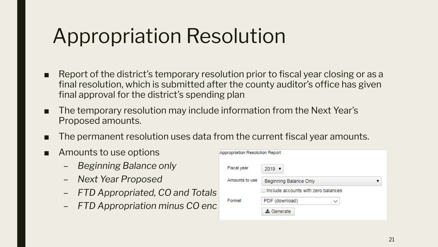# Appropriation Resolution

- Report of the district's temporary resolution prior to fiscal year closing or as a final resolution, which is submitted after the county auditor's office has given final approval for the district's spending plan
- The temporary resolution may include information from the Next Year's Proposed amounts.
- The permanent resolution uses data from the current fiscal year amounts.
- Amounts to use options
	- *– Beginning Balance only*
	- *– Next Year Proposed*
	- *– FTD Appropriated, CO and Totals*
	- *– FTD Appropriation minus CO enc*

| Appropriation Resolution Report |                                     |   |  |
|---------------------------------|-------------------------------------|---|--|
| Fiscal year                     | $2019$ $\blacktriangledown$         |   |  |
| Amounts to use                  | Beginning Balance Only              |   |  |
|                                 | Include accounts with zero balances |   |  |
| Format                          | PDF (download)                      | Ŵ |  |
|                                 | $\triangle$ Generate                |   |  |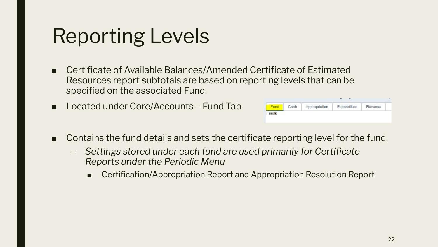# Reporting Levels

- Certificate of Available Balances/Amended Certificate of Estimated Resources report subtotals are based on reporting levels that can be specified on the associated Fund.
- Located under Core/Accounts Fund Tab

| Appropriation<br>Cash<br><b>Fund</b> | Expenditure<br>Revenue |
|--------------------------------------|------------------------|
|--------------------------------------|------------------------|

- Contains the fund details and sets the certificate reporting level for the fund.
	- *– Settings stored under each fund are used primarily for Certificate Reports under the Periodic Menu*
		- Certification/Appropriation Report and Appropriation Resolution Report